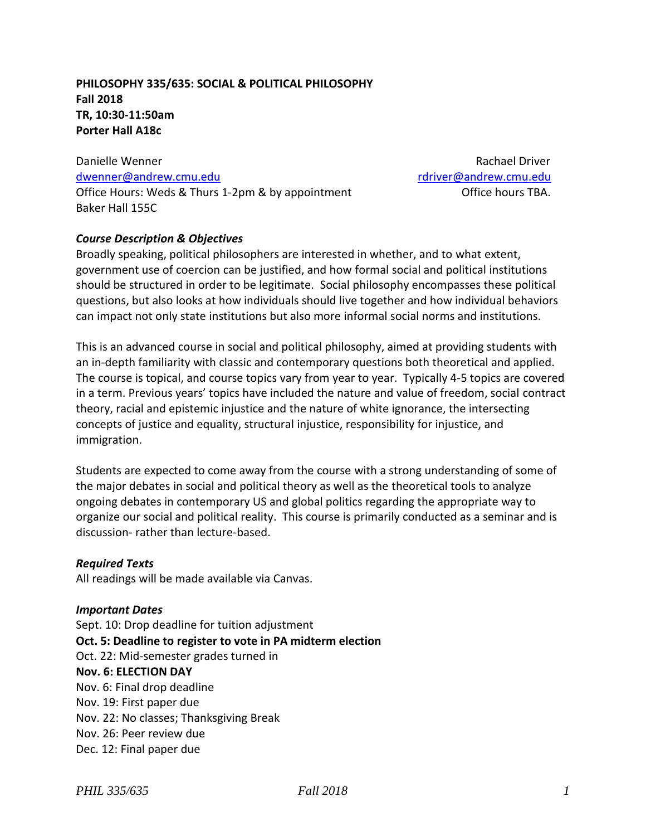# **PHILOSOPHY 335/635: SOCIAL & POLITICAL PHILOSOPHY Fall 2018 TR, 10:30-11:50am Porter Hall A18c**

Danielle Wenner National Britain Communication and the Rachael Driver [dwenner@andrew.cmu.edu](mailto:dwenner@andrew.cmu.edu) [rdriver@andrew.cmu.edu](mailto:rdriver@andrew.cmu.edu) Office Hours: Weds & Thurs 1-2pm & by appointment Office hours TBA. Baker Hall 155C

### *Course Description & Objectives*

Broadly speaking, political philosophers are interested in whether, and to what extent, government use of coercion can be justified, and how formal social and political institutions should be structured in order to be legitimate. Social philosophy encompasses these political questions, but also looks at how individuals should live together and how individual behaviors can impact not only state institutions but also more informal social norms and institutions.

This is an advanced course in social and political philosophy, aimed at providing students with an in-depth familiarity with classic and contemporary questions both theoretical and applied. The course is topical, and course topics vary from year to year. Typically 4-5 topics are covered in a term. Previous years' topics have included the nature and value of freedom, social contract theory, racial and epistemic injustice and the nature of white ignorance, the intersecting concepts of justice and equality, structural injustice, responsibility for injustice, and immigration.

Students are expected to come away from the course with a strong understanding of some of the major debates in social and political theory as well as the theoretical tools to analyze ongoing debates in contemporary US and global politics regarding the appropriate way to organize our social and political reality. This course is primarily conducted as a seminar and is discussion- rather than lecture-based.

#### *Required Texts*

All readings will be made available via Canvas.

#### *Important Dates*

Sept. 10: Drop deadline for tuition adjustment **Oct. 5: Deadline to register to vote in PA midterm election** Oct. 22: Mid-semester grades turned in **Nov. 6: ELECTION DAY** Nov. 6: Final drop deadline Nov. 19: First paper due Nov. 22: No classes; Thanksgiving Break Nov. 26: Peer review due Dec. 12: Final paper due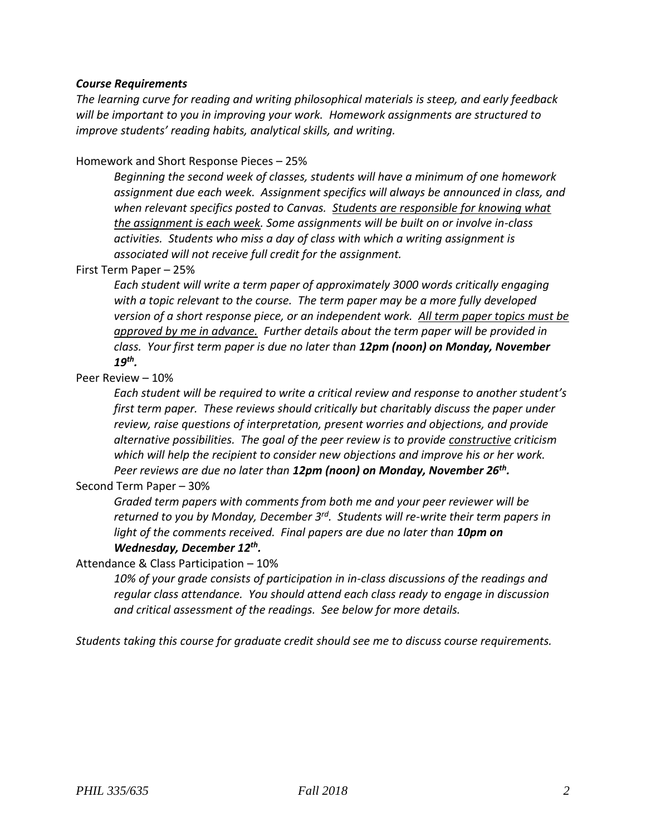### *Course Requirements*

*The learning curve for reading and writing philosophical materials is steep, and early feedback will be important to you in improving your work. Homework assignments are structured to improve students' reading habits, analytical skills, and writing.*

Homework and Short Response Pieces – 25%

*Beginning the second week of classes, students will have a minimum of one homework assignment due each week. Assignment specifics will always be announced in class, and when relevant specifics posted to Canvas. Students are responsible for knowing what the assignment is each week. Some assignments will be built on or involve in-class activities. Students who miss a day of class with which a writing assignment is associated will not receive full credit for the assignment.*

#### First Term Paper – 25%

*Each student will write a term paper of approximately 3000 words critically engaging with a topic relevant to the course. The term paper may be a more fully developed version of a short response piece, or an independent work. All term paper topics must be approved by me in advance. Further details about the term paper will be provided in class. Your first term paper is due no later than 12pm (noon) on Monday, November 19th .*

### Peer Review – 10%

*Each student will be required to write a critical review and response to another student's first term paper. These reviews should critically but charitably discuss the paper under review, raise questions of interpretation, present worries and objections, and provide alternative possibilities. The goal of the peer review is to provide constructive criticism which will help the recipient to consider new objections and improve his or her work. Peer reviews are due no later than 12pm (noon) on Monday, November 26 th .*

### Second Term Paper – 30%

*Graded term papers with comments from both me and your peer reviewer will be*  returned to you by Monday, December 3<sup>rd</sup>. Students will re-write their term papers in *light of the comments received. Final papers are due no later than 10pm on Wednesday, December 12 th .*

### Attendance & Class Participation – 10%

*10% of your grade consists of participation in in-class discussions of the readings and regular class attendance. You should attend each class ready to engage in discussion and critical assessment of the readings. See below for more details.*

*Students taking this course for graduate credit should see me to discuss course requirements.*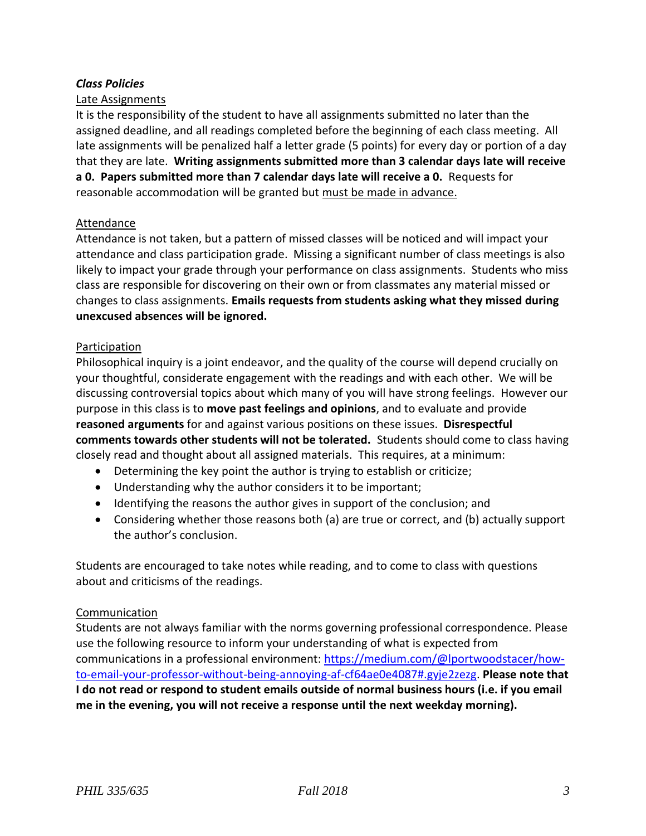# *Class Policies*

### Late Assignments

It is the responsibility of the student to have all assignments submitted no later than the assigned deadline, and all readings completed before the beginning of each class meeting. All late assignments will be penalized half a letter grade (5 points) for every day or portion of a day that they are late. **Writing assignments submitted more than 3 calendar days late will receive a 0. Papers submitted more than 7 calendar days late will receive a 0.** Requests for reasonable accommodation will be granted but must be made in advance.

#### Attendance

Attendance is not taken, but a pattern of missed classes will be noticed and will impact your attendance and class participation grade. Missing a significant number of class meetings is also likely to impact your grade through your performance on class assignments. Students who miss class are responsible for discovering on their own or from classmates any material missed or changes to class assignments. **Emails requests from students asking what they missed during unexcused absences will be ignored.**

#### Participation

Philosophical inquiry is a joint endeavor, and the quality of the course will depend crucially on your thoughtful, considerate engagement with the readings and with each other. We will be discussing controversial topics about which many of you will have strong feelings. However our purpose in this class is to **move past feelings and opinions**, and to evaluate and provide **reasoned arguments** for and against various positions on these issues. **Disrespectful comments towards other students will not be tolerated.** Students should come to class having closely read and thought about all assigned materials. This requires, at a minimum:

- Determining the key point the author is trying to establish or criticize;
- Understanding why the author considers it to be important;
- Identifying the reasons the author gives in support of the conclusion; and
- Considering whether those reasons both (a) are true or correct, and (b) actually support the author's conclusion.

Students are encouraged to take notes while reading, and to come to class with questions about and criticisms of the readings.

#### Communication

Students are not always familiar with the norms governing professional correspondence. Please use the following resource to inform your understanding of what is expected from communications in a professional environment: [https://medium.com/@lportwoodstacer/how](https://medium.com/@lportwoodstacer/how-to-email-your-professor-without-being-annoying-af-cf64ae0e4087#.gyje2zezg)[to-email-your-professor-without-being-annoying-af-cf64ae0e4087#.gyje2zezg.](https://medium.com/@lportwoodstacer/how-to-email-your-professor-without-being-annoying-af-cf64ae0e4087#.gyje2zezg) **Please note that I do not read or respond to student emails outside of normal business hours (i.e. if you email me in the evening, you will not receive a response until the next weekday morning).**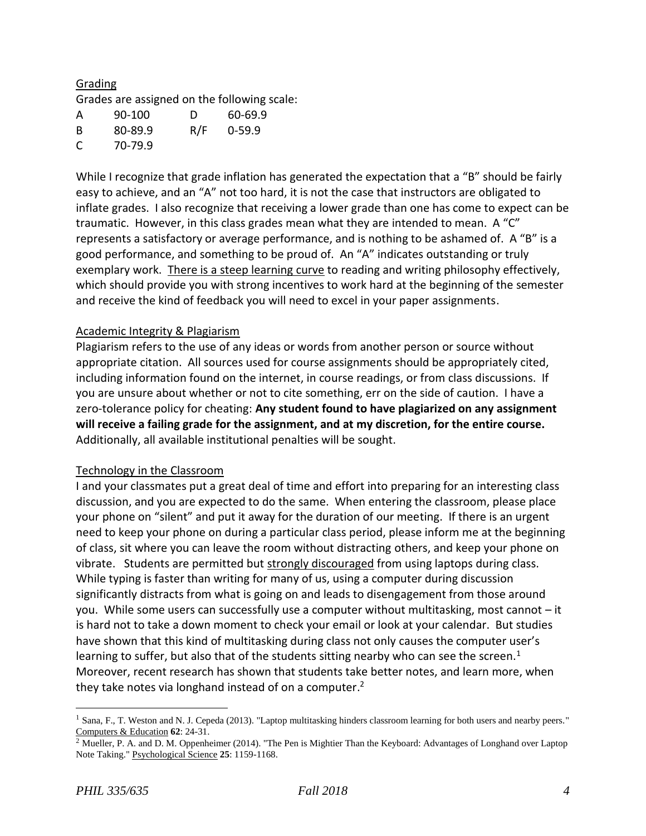# Grading

Grades are assigned on the following scale:

| A | 90-100  | D   | 60-69.9    |
|---|---------|-----|------------|
| B | 80-89.9 | R/F | $0 - 59.9$ |
| C | 70-79.9 |     |            |

While I recognize that grade inflation has generated the expectation that a "B" should be fairly easy to achieve, and an "A" not too hard, it is not the case that instructors are obligated to inflate grades. I also recognize that receiving a lower grade than one has come to expect can be traumatic. However, in this class grades mean what they are intended to mean. A "C" represents a satisfactory or average performance, and is nothing to be ashamed of. A "B" is a good performance, and something to be proud of. An "A" indicates outstanding or truly exemplary work. There is a steep learning curve to reading and writing philosophy effectively, which should provide you with strong incentives to work hard at the beginning of the semester and receive the kind of feedback you will need to excel in your paper assignments.

#### Academic Integrity & Plagiarism

Plagiarism refers to the use of any ideas or words from another person or source without appropriate citation. All sources used for course assignments should be appropriately cited, including information found on the internet, in course readings, or from class discussions. If you are unsure about whether or not to cite something, err on the side of caution. I have a zero-tolerance policy for cheating: **Any student found to have plagiarized on any assignment will receive a failing grade for the assignment, and at my discretion, for the entire course.** Additionally, all available institutional penalties will be sought.

#### Technology in the Classroom

I and your classmates put a great deal of time and effort into preparing for an interesting class discussion, and you are expected to do the same. When entering the classroom, please place your phone on "silent" and put it away for the duration of our meeting. If there is an urgent need to keep your phone on during a particular class period, please inform me at the beginning of class, sit where you can leave the room without distracting others, and keep your phone on vibrate. Students are permitted but strongly discouraged from using laptops during class. While typing is faster than writing for many of us, using a computer during discussion significantly distracts from what is going on and leads to disengagement from those around you. While some users can successfully use a computer without multitasking, most cannot – it is hard not to take a down moment to check your email or look at your calendar. But studies have shown that this kind of multitasking during class not only causes the computer user's learning to suffer, but also that of the students sitting nearby who can see the screen.<sup>1</sup> Moreover, recent research has shown that students take better notes, and learn more, when they take notes via longhand instead of on a computer.<sup>2</sup>

 $\overline{a}$ 

<sup>&</sup>lt;sup>1</sup> Sana, F., T. Weston and N. J. Cepeda (2013). "Laptop multitasking hinders classroom learning for both users and nearby peers." Computers & Education **62**: 24-31.

<sup>&</sup>lt;sup>2</sup> Mueller, P. A. and D. M. Oppenheimer (2014). "The Pen is Mightier Than the Keyboard: Advantages of Longhand over Laptop Note Taking." Psychological Science **25**: 1159-1168.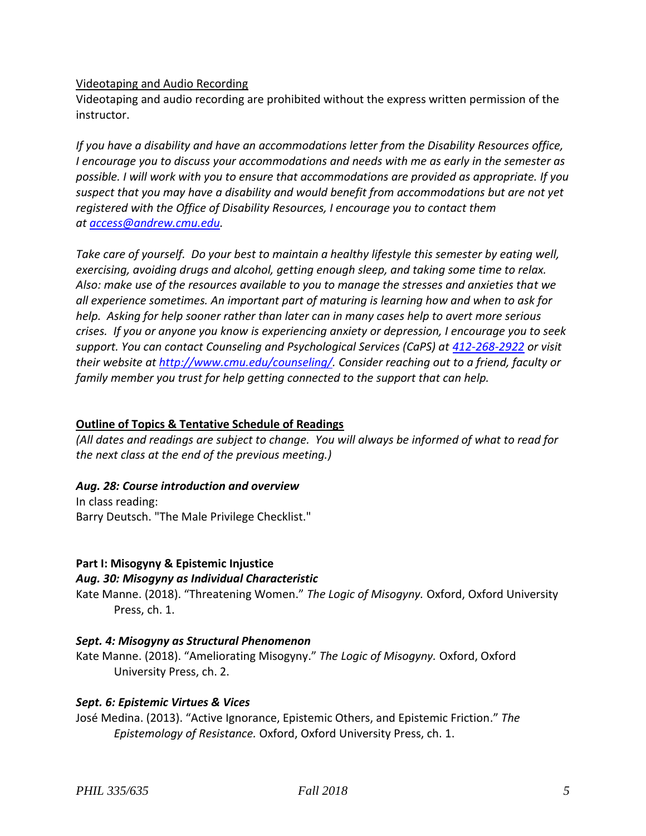# Videotaping and Audio Recording

Videotaping and audio recording are prohibited without the express written permission of the instructor.

*If you have a disability and have an accommodations letter from the Disability Resources office, I encourage you to discuss your accommodations and needs with me as early in the semester as possible. I will work with you to ensure that accommodations are provided as appropriate. If you suspect that you may have a disability and would benefit from accommodations but are not yet registered with the Office of Disability Resources, I encourage you to contact them at [access@andrew.cmu.edu.](mailto:access@andrew.cmu.edu)*

*Take care of yourself. Do your best to maintain a healthy lifestyle this semester by eating well, exercising, avoiding drugs and alcohol, getting enough sleep, and taking some time to relax. Also: make use of the resources available to you to manage the stresses and anxieties that we all experience sometimes. An important part of maturing is learning how and when to ask for help. Asking for help sooner rather than later can in many cases help to avert more serious crises. If you or anyone you know is experiencing anxiety or depression, I encourage you to seek support. You can contact Counseling and Psychological Services (CaPS) at [412-268-2922](tel:(412)%20268-2922) or visit their website at [http://www.cmu.edu/counseling/.](http://www.cmu.edu/counseling/) Consider reaching out to a friend, faculty or family member you trust for help getting connected to the support that can help.*

# **Outline of Topics & Tentative Schedule of Readings**

*(All dates and readings are subject to change. You will always be informed of what to read for the next class at the end of the previous meeting.)*

# *Aug. 28: Course introduction and overview*

In class reading: Barry Deutsch. "The Male Privilege Checklist."

# **Part I: Misogyny & Epistemic Injustice**

### *Aug. 30: Misogyny as Individual Characteristic*

Kate Manne. (2018). "Threatening Women." *The Logic of Misogyny.* Oxford, Oxford University Press, ch. 1.

### *Sept. 4: Misogyny as Structural Phenomenon*

Kate Manne. (2018). "Ameliorating Misogyny." *The Logic of Misogyny.* Oxford, Oxford University Press, ch. 2.

### *Sept. 6: Epistemic Virtues & Vices*

José Medina. (2013). "Active Ignorance, Epistemic Others, and Epistemic Friction." *The Epistemology of Resistance.* Oxford, Oxford University Press, ch. 1.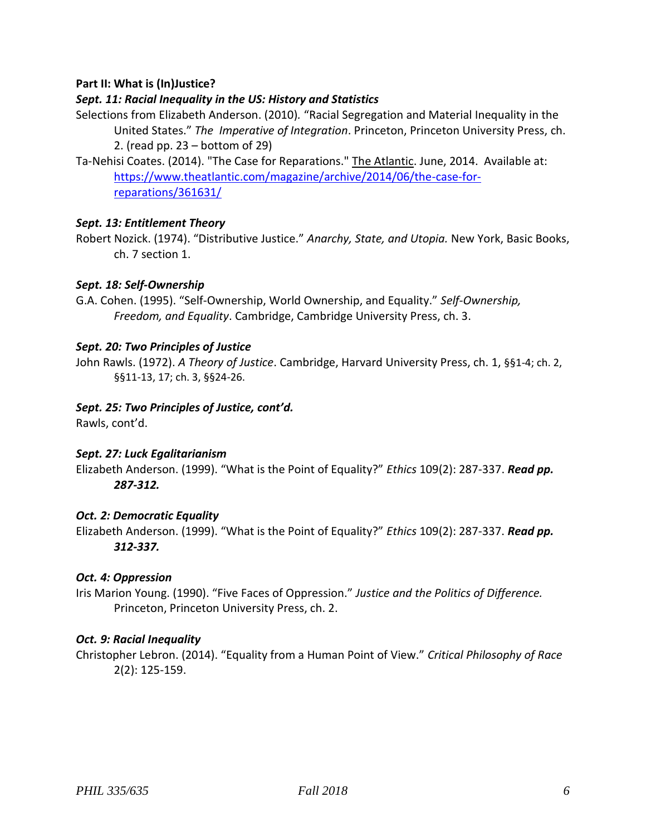## **Part II: What is (In)Justice?**

## *Sept. 11: Racial Inequality in the US: History and Statistics*

Selections from Elizabeth Anderson. (2010)*.* "Racial Segregation and Material Inequality in the United States." *The Imperative of Integration*. Princeton, Princeton University Press, ch. 2. (read pp. 23 – bottom of 29)

Ta-Nehisi Coates. (2014). "The Case for Reparations." The Atlantic. June, 2014. Available at: [https://www.theatlantic.com/magazine/archive/2014/06/the-case-for](https://www.theatlantic.com/magazine/archive/2014/06/the-case-for-reparations/361631/)[reparations/361631/](https://www.theatlantic.com/magazine/archive/2014/06/the-case-for-reparations/361631/)

# *Sept. 13: Entitlement Theory*

Robert Nozick. (1974). "Distributive Justice." *Anarchy, State, and Utopia.* New York, Basic Books, ch. 7 section 1.

# *Sept. 18: Self-Ownership*

G.A. Cohen. (1995). "Self-Ownership, World Ownership, and Equality." *Self-Ownership, Freedom, and Equality*. Cambridge, Cambridge University Press, ch. 3.

### *Sept. 20: Two Principles of Justice*

John Rawls. (1972). *A Theory of Justice*. Cambridge, Harvard University Press, ch. 1, §§1-4; ch. 2, §§11-13, 17; ch. 3, §§24-26.

### *Sept. 25: Two Principles of Justice, cont'd.*

Rawls, cont'd.

### *Sept. 27: Luck Egalitarianism*

Elizabeth Anderson. (1999). "What is the Point of Equality?" *Ethics* 109(2): 287-337. *Read pp. 287-312.* 

### *Oct. 2: Democratic Equality*

Elizabeth Anderson. (1999). "What is the Point of Equality?" *Ethics* 109(2): 287-337. *Read pp. 312-337.* 

### *Oct. 4: Oppression*

Iris Marion Young. (1990). "Five Faces of Oppression." *Justice and the Politics of Difference.* Princeton, Princeton University Press, ch. 2.

### *Oct. 9: Racial Inequality*

Christopher Lebron. (2014). "Equality from a Human Point of View." *Critical Philosophy of Race*  2(2): 125-159.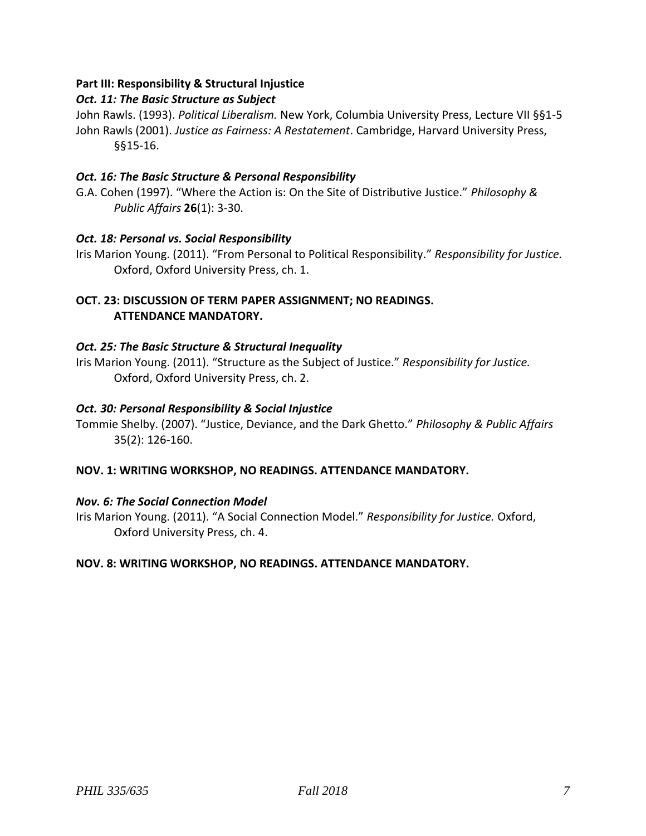# **Part III: Responsibility & Structural Injustice**

# *Oct. 11: The Basic Structure as Subject*

John Rawls. (1993). *Political Liberalism.* New York, Columbia University Press, Lecture VII §§1-5 John Rawls (2001). *Justice as Fairness: A Restatement*. Cambridge, Harvard University Press, §§15-16.

## *Oct. 16: The Basic Structure & Personal Responsibility*

G.A. Cohen (1997). "Where the Action is: On the Site of Distributive Justice." *Philosophy & Public Affairs* **26**(1): 3-30.

### *Oct. 18: Personal vs. Social Responsibility*

Iris Marion Young. (2011). "From Personal to Political Responsibility." *Responsibility for Justice.* Oxford, Oxford University Press, ch. 1.

## **OCT. 23: DISCUSSION OF TERM PAPER ASSIGNMENT; NO READINGS. ATTENDANCE MANDATORY.**

# *Oct. 25: The Basic Structure & Structural Inequality*

Iris Marion Young. (2011). "Structure as the Subject of Justice." *Responsibility for Justice.* Oxford, Oxford University Press, ch. 2.

### *Oct. 30: Personal Responsibility & Social Injustice*

Tommie Shelby. (2007). "Justice, Deviance, and the Dark Ghetto." *Philosophy & Public Affairs*  35(2): 126-160.

### **NOV. 1: WRITING WORKSHOP, NO READINGS. ATTENDANCE MANDATORY.**

### *Nov. 6: The Social Connection Model*

Iris Marion Young. (2011). "A Social Connection Model." *Responsibility for Justice.* Oxford, Oxford University Press, ch. 4.

### **NOV. 8: WRITING WORKSHOP, NO READINGS. ATTENDANCE MANDATORY.**